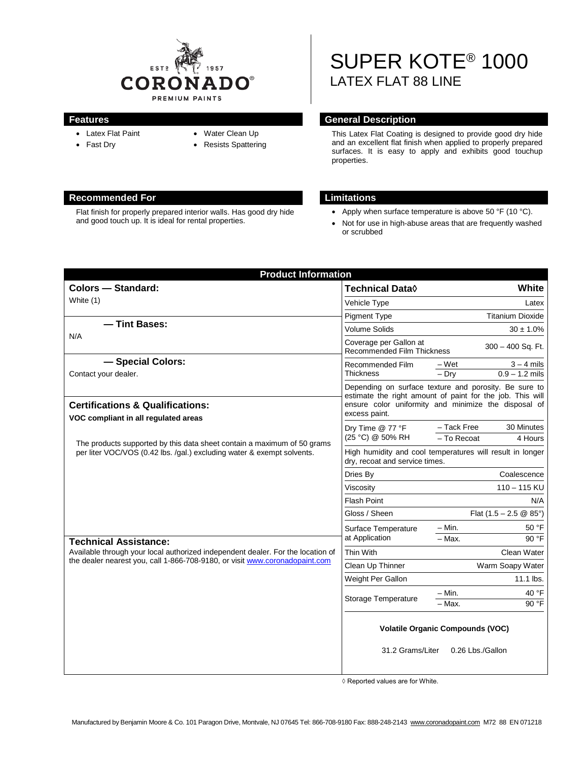

- Latex Flat Paint
- Fast Dry
- Water Clean Up
- Resists Spattering

# SUPER KOTE® 1000 LATEX FLAT 88 LINE

## **Features General Description**

This Latex Flat Coating is designed to provide good dry hide and an excellent flat finish when applied to properly prepared surfaces. It is easy to apply and exhibits good touchup properties.

- Apply when surface temperature is above 50 °F (10 °C).
- Not for use in high-abuse areas that are frequently washed or scrubbed

| <b>Product Information</b>                                                                                                                                     |                                                                                                                                                                                             |                                                      |
|----------------------------------------------------------------------------------------------------------------------------------------------------------------|---------------------------------------------------------------------------------------------------------------------------------------------------------------------------------------------|------------------------------------------------------|
| <b>Colors - Standard:</b>                                                                                                                                      | <b>Technical Data</b> ♦                                                                                                                                                                     | White                                                |
| White (1)                                                                                                                                                      | Vehicle Type                                                                                                                                                                                | Latex                                                |
|                                                                                                                                                                | <b>Pigment Type</b>                                                                                                                                                                         | <b>Titanium Dioxide</b>                              |
| - Tint Bases:<br>N/A                                                                                                                                           | <b>Volume Solids</b>                                                                                                                                                                        | $30 \pm 1.0\%$                                       |
|                                                                                                                                                                | Coverage per Gallon at<br>$300 - 400$ Sq. Ft.<br><b>Recommended Film Thickness</b>                                                                                                          |                                                      |
| - Special Colors:<br>Contact your dealer.                                                                                                                      | Recommended Film<br><b>Thickness</b>                                                                                                                                                        | $3 - 4$ mils<br>– Wet<br>$0.9 - 1.2$ mils<br>$-$ Dry |
| <b>Certifications &amp; Qualifications:</b><br>VOC compliant in all regulated areas                                                                            | Depending on surface texture and porosity. Be sure to<br>estimate the right amount of paint for the job. This will<br>ensure color uniformity and minimize the disposal of<br>excess paint. |                                                      |
| The products supported by this data sheet contain a maximum of 50 grams<br>per liter VOC/VOS (0.42 lbs. /gal.) excluding water & exempt solvents.              | Dry Time @ 77 °F<br>(25 °C) @ 50% RH                                                                                                                                                        | - Tack Free<br>30 Minutes<br>- To Recoat<br>4 Hours  |
|                                                                                                                                                                | High humidity and cool temperatures will result in longer<br>dry, recoat and service times.                                                                                                 |                                                      |
|                                                                                                                                                                | Dries By                                                                                                                                                                                    | Coalescence                                          |
|                                                                                                                                                                | Viscosity                                                                                                                                                                                   | $110 - 115$ KU                                       |
|                                                                                                                                                                | Flash Point                                                                                                                                                                                 | N/A                                                  |
|                                                                                                                                                                | Gloss / Sheen                                                                                                                                                                               | Flat $(1.5 - 2.5 \circledR 85^{\circ})$              |
|                                                                                                                                                                | Surface Temperature                                                                                                                                                                         | $-$ Min.<br>50 °F                                    |
| <b>Technical Assistance:</b>                                                                                                                                   | at Application                                                                                                                                                                              | 90 °F<br>- Max.                                      |
| Available through your local authorized independent dealer. For the location of<br>the dealer nearest you, call 1-866-708-9180, or visit www.coronadopaint.com | Thin With                                                                                                                                                                                   | Clean Water                                          |
|                                                                                                                                                                | Clean Up Thinner                                                                                                                                                                            | Warm Soapy Water                                     |
|                                                                                                                                                                | Weight Per Gallon                                                                                                                                                                           | 11.1 lbs.                                            |
|                                                                                                                                                                | <b>Storage Temperature</b>                                                                                                                                                                  | $- Min.$<br>40 °F                                    |
|                                                                                                                                                                |                                                                                                                                                                                             | - Max.<br>90 °F                                      |
|                                                                                                                                                                | <b>Volatile Organic Compounds (VOC)</b><br>31.2 Grams/Liter<br>0.26 Lbs./Gallon                                                                                                             |                                                      |

◊ Reported values are for White.

# **Recommended For Limitations**

Flat finish for properly prepared interior walls. Has good dry hide and good touch up. It is ideal for rental properties.